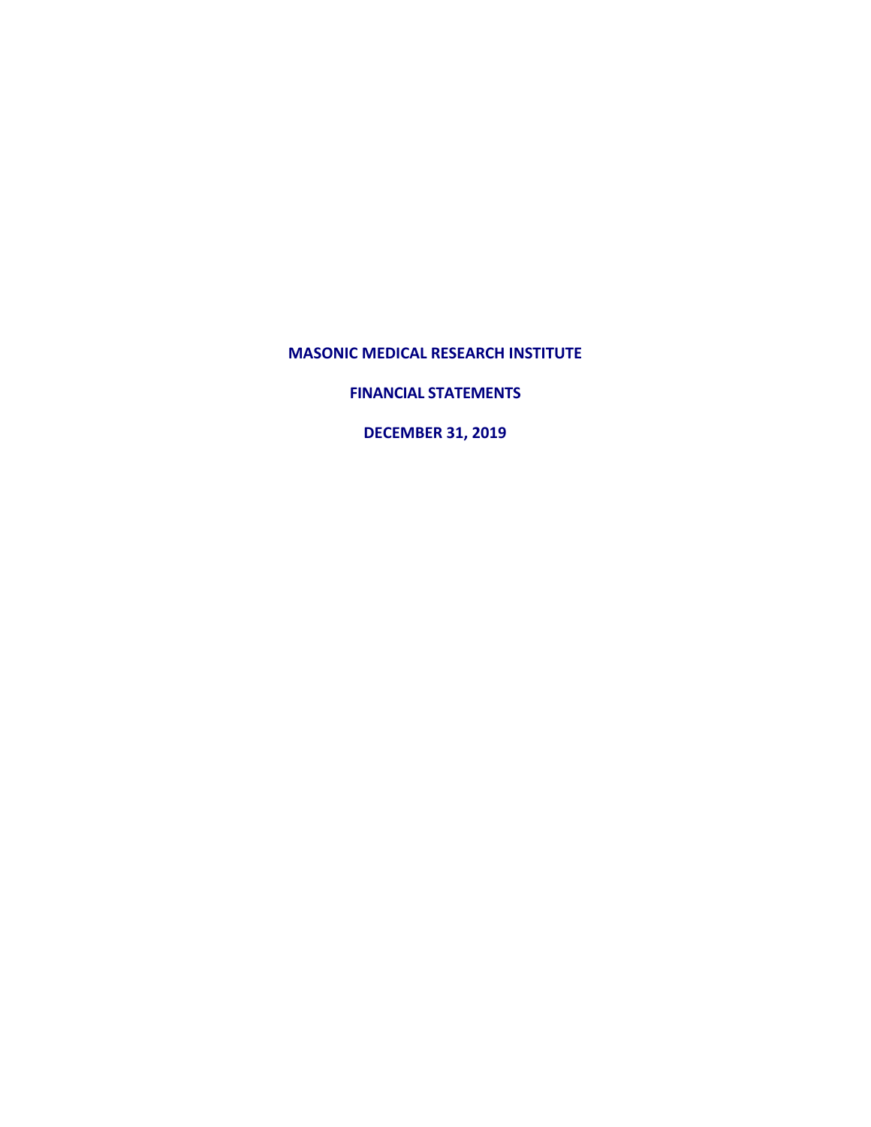**FINANCIAL STATEMENTS**

**DECEMBER 31, 2019**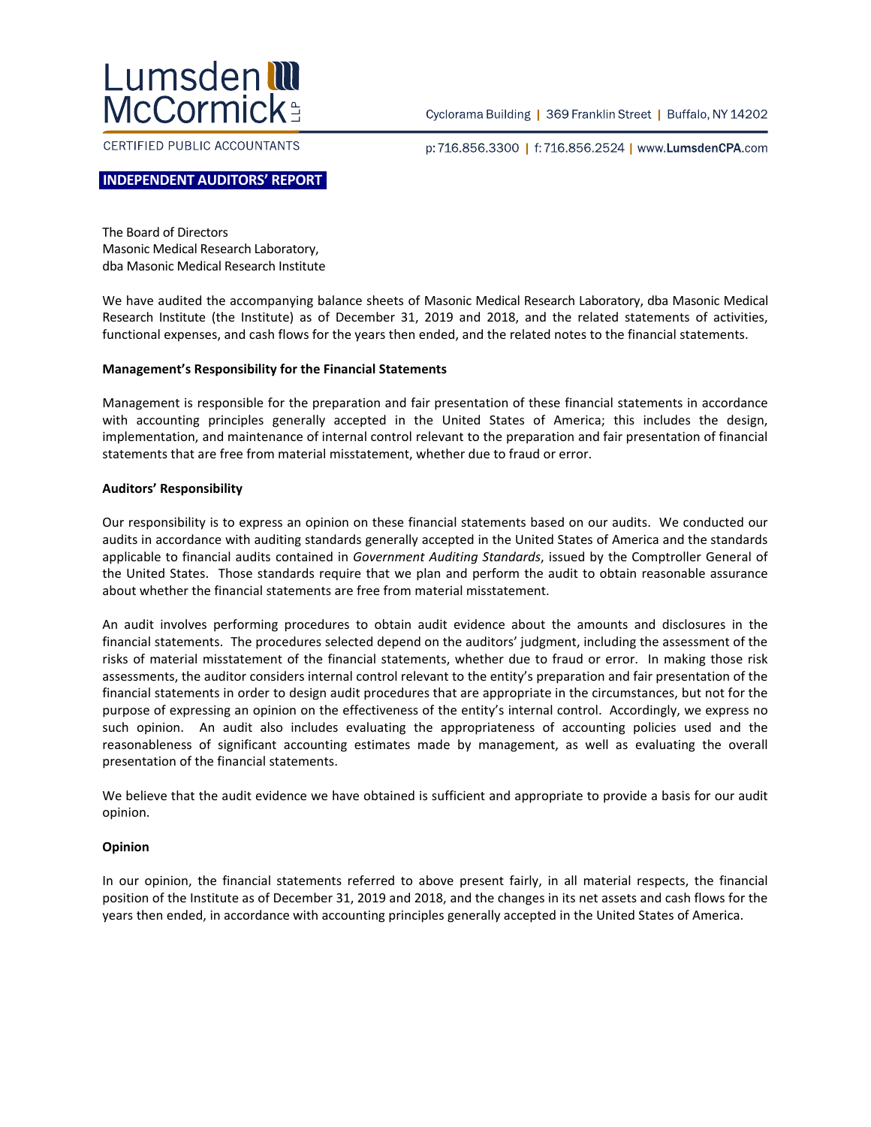# Lumsden **III**<br>McCormick

CERTIFIED PUBLIC ACCOUNTANTS

Cyclorama Building | 369 Franklin Street | Buffalo, NY 14202

p:716.856.3300 | f:716.856.2524 | www.LumsdenCPA.com

#### **INDEPENDENT AUDITORS' REPORT**

The Board of Directors Masonic Medical Research Laboratory, dba Masonic Medical Research Institute

We have audited the accompanying balance sheets of Masonic Medical Research Laboratory, dba Masonic Medical Research Institute (the Institute) as of December 31, 2019 and 2018, and the related statements of activities, functional expenses, and cash flows for the years then ended, and the related notes to the financial statements.

#### **Management's Responsibility for the Financial Statements**

Management is responsible for the preparation and fair presentation of these financial statements in accordance with accounting principles generally accepted in the United States of America; this includes the design, implementation, and maintenance of internal control relevant to the preparation and fair presentation of financial statements that are free from material misstatement, whether due to fraud or error.

#### **Auditors' Responsibility**

Our responsibility is to express an opinion on these financial statements based on our audits. We conducted our audits in accordance with auditing standards generally accepted in the United States of America and the standards applicable to financial audits contained in *Government Auditing Standards*, issued by the Comptroller General of the United States. Those standards require that we plan and perform the audit to obtain reasonable assurance about whether the financial statements are free from material misstatement.

An audit involves performing procedures to obtain audit evidence about the amounts and disclosures in the financial statements. The procedures selected depend on the auditors' judgment, including the assessment of the risks of material misstatement of the financial statements, whether due to fraud or error. In making those risk assessments, the auditor considers internal control relevant to the entity's preparation and fair presentation of the financial statements in order to design audit procedures that are appropriate in the circumstances, but not for the purpose of expressing an opinion on the effectiveness of the entity's internal control. Accordingly, we express no such opinion. An audit also includes evaluating the appropriateness of accounting policies used and the reasonableness of significant accounting estimates made by management, as well as evaluating the overall presentation of the financial statements.

We believe that the audit evidence we have obtained is sufficient and appropriate to provide a basis for our audit opinion.

### **Opinion**

In our opinion, the financial statements referred to above present fairly, in all material respects, the financial position of the Institute as of December 31, 2019 and 2018, and the changes in its net assets and cash flows for the years then ended, in accordance with accounting principles generally accepted in the United States of America.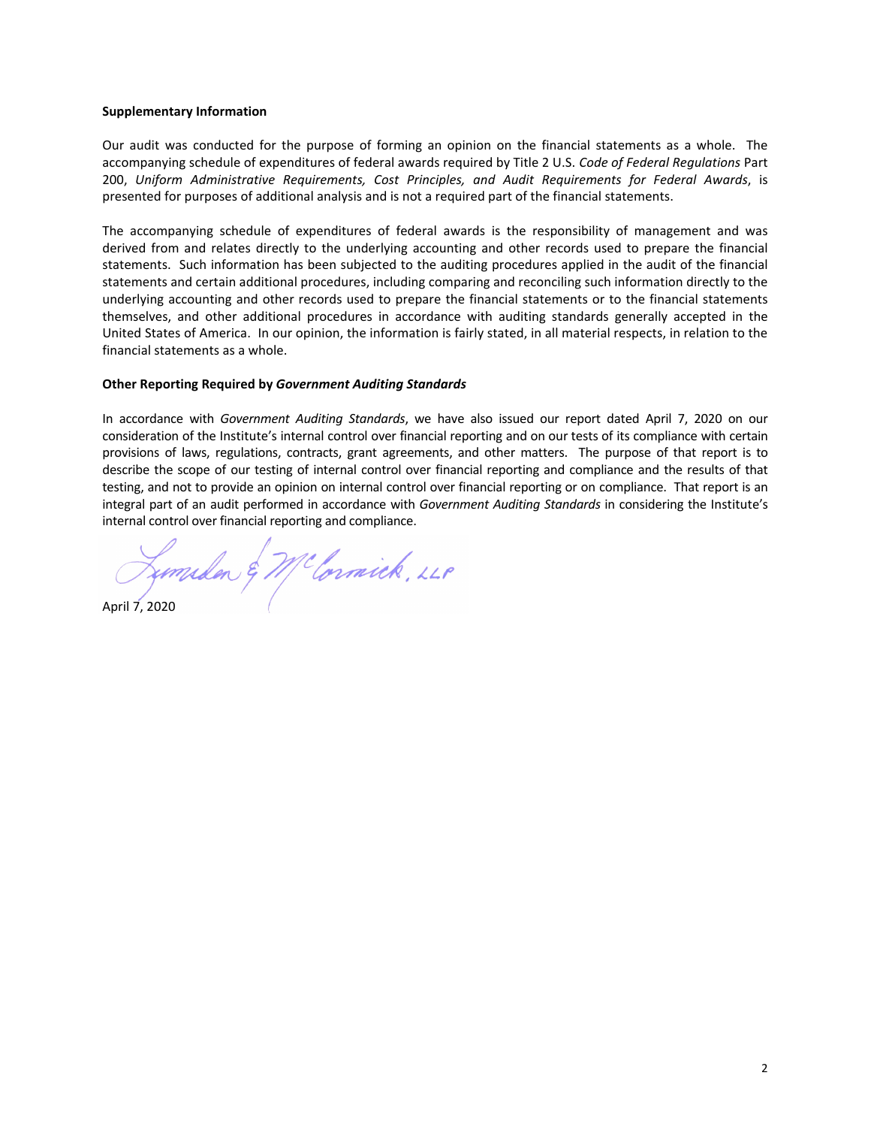#### **Supplementary Information**

Our audit was conducted for the purpose of forming an opinion on the financial statements as a whole. The accompanying schedule of expenditures of federal awards required by Title 2 U.S. *Code of Federal Regulations* Part 200, *Uniform Administrative Requirements, Cost Principles, and Audit Requirements for Federal Awards*, is presented for purposes of additional analysis and is not a required part of the financial statements.

The accompanying schedule of expenditures of federal awards is the responsibility of management and was derived from and relates directly to the underlying accounting and other records used to prepare the financial statements. Such information has been subjected to the auditing procedures applied in the audit of the financial statements and certain additional procedures, including comparing and reconciling such information directly to the underlying accounting and other records used to prepare the financial statements or to the financial statements themselves, and other additional procedures in accordance with auditing standards generally accepted in the United States of America. In our opinion, the information is fairly stated, in all material respects, in relation to the financial statements as a whole.

#### **Other Reporting Required by** *Government Auditing Standards*

In accordance with *Government Auditing Standards*, we have also issued our report dated April 7, 2020 on our consideration of the Institute's internal control over financial reporting and on our tests of its compliance with certain provisions of laws, regulations, contracts, grant agreements, and other matters. The purpose of that report is to describe the scope of our testing of internal control over financial reporting and compliance and the results of that testing, and not to provide an opinion on internal control over financial reporting or on compliance. That report is an integral part of an audit performed in accordance with *Government Auditing Standards* in considering the Institute's internal control over financial reporting and compliance.

Limiden & McCornick, 220

April 7, 2020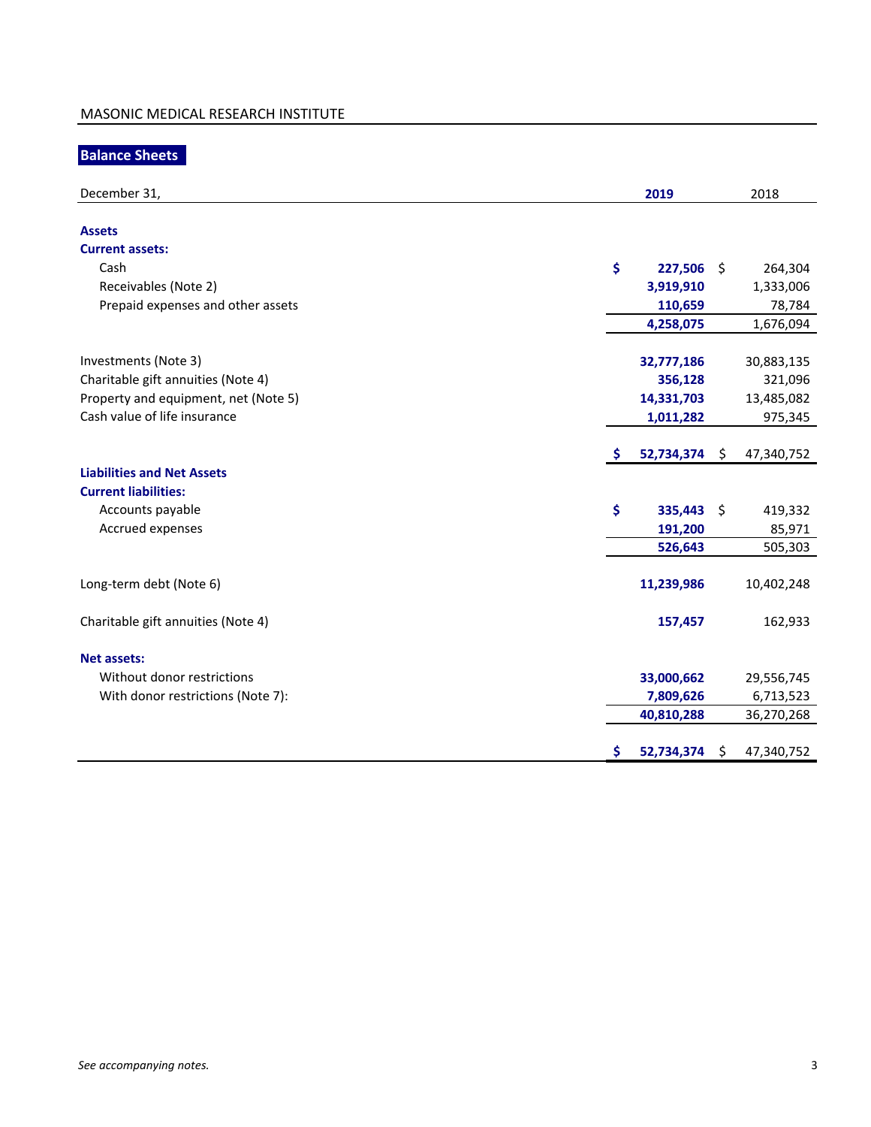# **Balance Sheets**

| December 31,                         | 2019 |                 |    | 2018       |
|--------------------------------------|------|-----------------|----|------------|
|                                      |      |                 |    |            |
| <b>Assets</b>                        |      |                 |    |            |
| <b>Current assets:</b>               |      |                 |    |            |
| Cash                                 | \$   | 227,506         | S. | 264,304    |
| Receivables (Note 2)                 |      | 3,919,910       |    | 1,333,006  |
| Prepaid expenses and other assets    |      | 110,659         |    | 78,784     |
|                                      |      | 4,258,075       |    | 1,676,094  |
| Investments (Note 3)                 |      | 32,777,186      |    | 30,883,135 |
| Charitable gift annuities (Note 4)   |      | 356,128         |    | 321,096    |
| Property and equipment, net (Note 5) |      | 14,331,703      |    | 13,485,082 |
| Cash value of life insurance         |      |                 |    |            |
|                                      |      | 1,011,282       |    | 975,345    |
|                                      | S.   | $52,734,374$ \$ |    | 47,340,752 |
| <b>Liabilities and Net Assets</b>    |      |                 |    |            |
| <b>Current liabilities:</b>          |      |                 |    |            |
| Accounts payable                     | \$   | 335,443 \$      |    | 419,332    |
| Accrued expenses                     |      | 191,200         |    | 85,971     |
|                                      |      | 526,643         |    | 505,303    |
|                                      |      |                 |    |            |
| Long-term debt (Note 6)              |      | 11,239,986      |    | 10,402,248 |
| Charitable gift annuities (Note 4)   |      | 157,457         |    | 162,933    |
| <b>Net assets:</b>                   |      |                 |    |            |
| Without donor restrictions           |      | 33,000,662      |    | 29,556,745 |
| With donor restrictions (Note 7):    |      | 7,809,626       |    | 6,713,523  |
|                                      |      | 40,810,288      |    | 36,270,268 |
|                                      |      |                 |    |            |
|                                      | S.   | 52,734,374      | S  | 47,340,752 |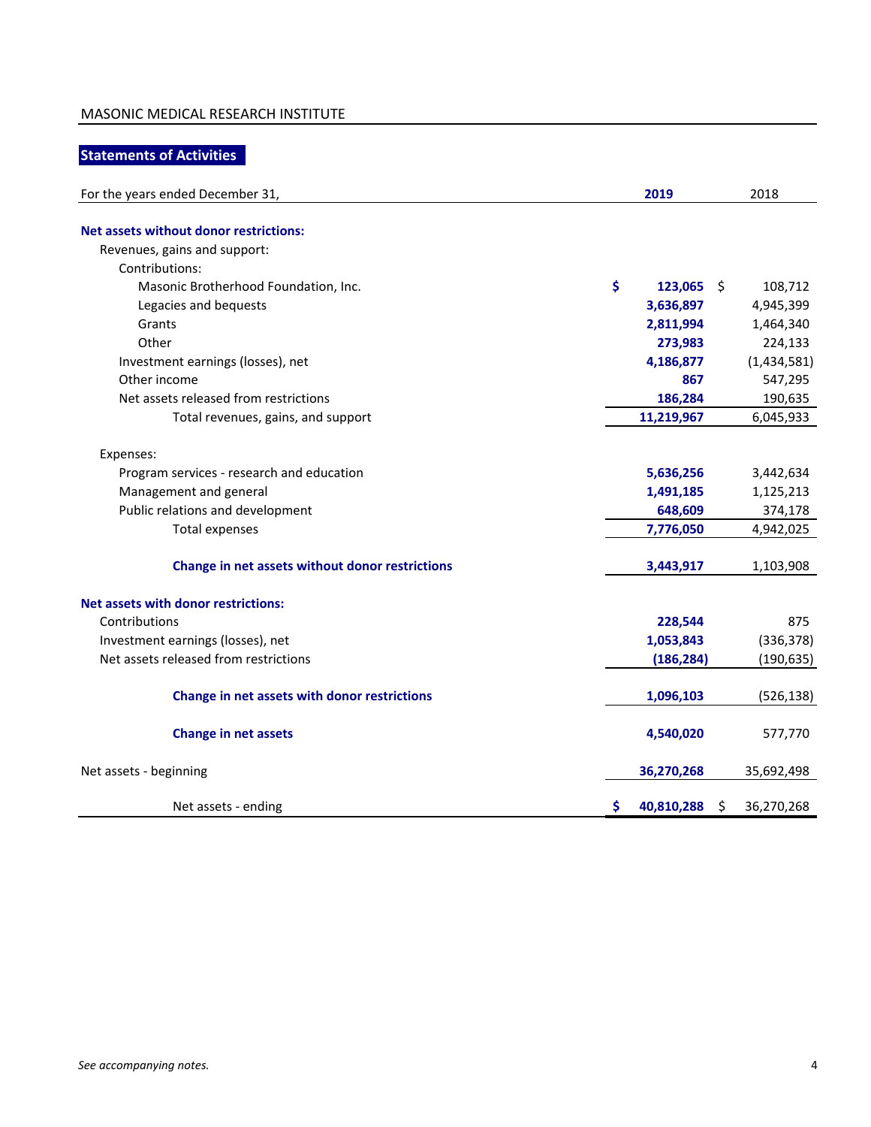# **Statements of Activities**

| For the years ended December 31,                       | 2019             | 2018             |
|--------------------------------------------------------|------------------|------------------|
| <b>Net assets without donor restrictions:</b>          |                  |                  |
| Revenues, gains and support:                           |                  |                  |
| Contributions:                                         |                  |                  |
| Masonic Brotherhood Foundation, Inc.                   | \$<br>123,065    | \$<br>108,712    |
|                                                        | 3,636,897        | 4,945,399        |
| Legacies and bequests<br>Grants                        |                  |                  |
|                                                        | 2,811,994        | 1,464,340        |
| Other                                                  | 273,983          | 224,133          |
| Investment earnings (losses), net                      | 4,186,877        | (1,434,581)      |
| Other income                                           | 867              | 547,295          |
| Net assets released from restrictions                  | 186,284          | 190,635          |
| Total revenues, gains, and support                     | 11,219,967       | 6,045,933        |
|                                                        |                  |                  |
| Expenses:<br>Program services - research and education | 5,636,256        | 3,442,634        |
|                                                        |                  |                  |
| Management and general                                 | 1,491,185        | 1,125,213        |
| Public relations and development                       | 648,609          | 374,178          |
| <b>Total expenses</b>                                  | 7,776,050        | 4,942,025        |
| Change in net assets without donor restrictions        | 3,443,917        | 1,103,908        |
| <b>Net assets with donor restrictions:</b>             |                  |                  |
| Contributions                                          | 228,544          | 875              |
| Investment earnings (losses), net                      | 1,053,843        | (336, 378)       |
| Net assets released from restrictions                  | (186, 284)       | (190, 635)       |
|                                                        |                  |                  |
| Change in net assets with donor restrictions           | 1,096,103        | (526, 138)       |
| <b>Change in net assets</b>                            | 4,540,020        | 577,770          |
| Net assets - beginning                                 | 36,270,268       | 35,692,498       |
| Net assets - ending                                    | \$<br>40,810,288 | \$<br>36,270,268 |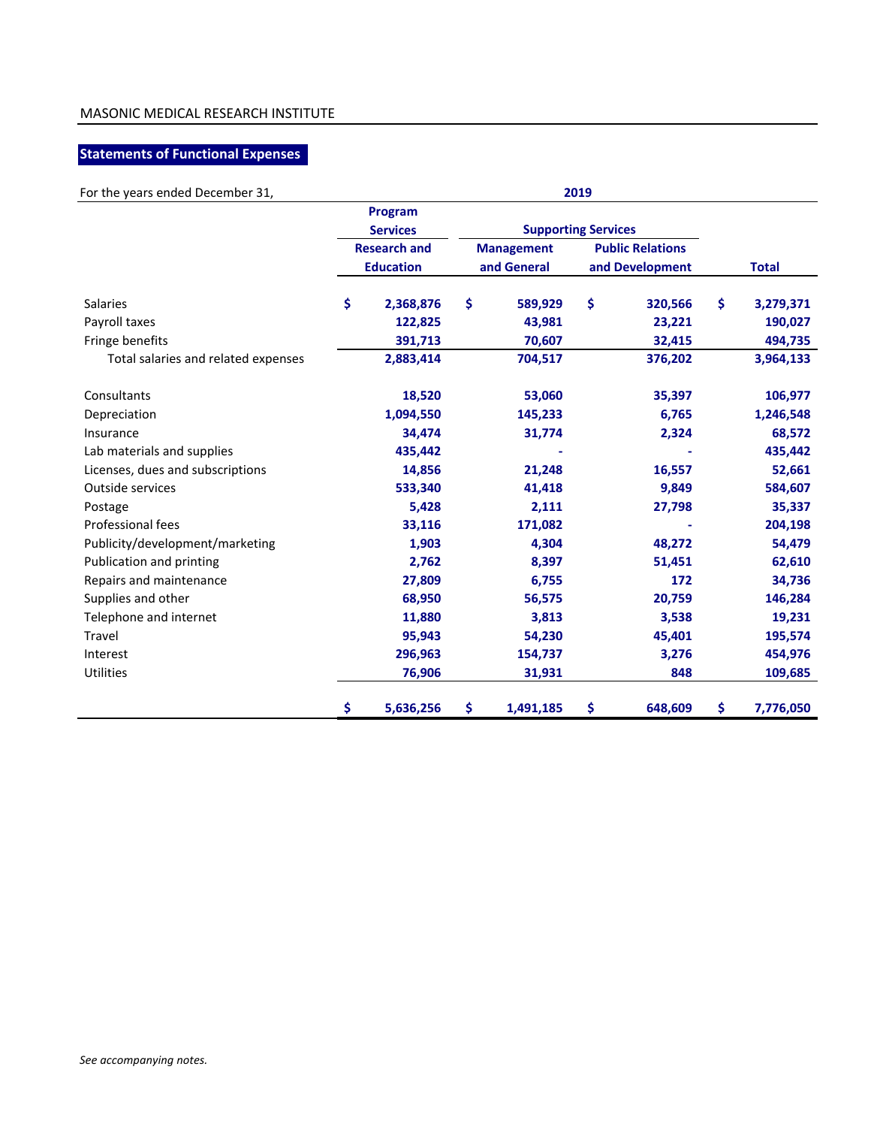# **Statements of Functional Expenses**

| For the years ended December 31,    |                     |    |                            | 2019 |                         |                 |
|-------------------------------------|---------------------|----|----------------------------|------|-------------------------|-----------------|
|                                     | Program             |    |                            |      |                         |                 |
|                                     | <b>Services</b>     |    | <b>Supporting Services</b> |      |                         |                 |
|                                     | <b>Research and</b> |    | <b>Management</b>          |      | <b>Public Relations</b> |                 |
|                                     | <b>Education</b>    |    | and General                |      | and Development         | <b>Total</b>    |
| <b>Salaries</b>                     | \$<br>2,368,876     | \$ | 589,929                    | \$   | 320,566                 | \$<br>3,279,371 |
| Payroll taxes                       | 122,825             |    | 43,981                     |      | 23,221                  | 190,027         |
| Fringe benefits                     | 391,713             |    | 70,607                     |      | 32,415                  | 494,735         |
| Total salaries and related expenses | 2,883,414           |    | 704,517                    |      | 376,202                 | 3,964,133       |
| Consultants                         | 18,520              |    | 53,060                     |      | 35,397                  | 106,977         |
| Depreciation                        | 1,094,550           |    | 145,233                    |      | 6,765                   | 1,246,548       |
| Insurance                           | 34,474              |    | 31,774                     |      | 2,324                   | 68,572          |
| Lab materials and supplies          | 435,442             |    |                            |      |                         | 435,442         |
| Licenses, dues and subscriptions    | 14,856              |    | 21,248                     |      | 16,557                  | 52,661          |
| Outside services                    | 533,340             |    | 41,418                     |      | 9,849                   | 584,607         |
| Postage                             | 5,428               |    | 2,111                      |      | 27,798                  | 35,337          |
| Professional fees                   | 33,116              |    | 171,082                    |      |                         | 204,198         |
| Publicity/development/marketing     | 1,903               |    | 4,304                      |      | 48,272                  | 54,479          |
| Publication and printing            | 2,762               |    | 8,397                      |      | 51,451                  | 62,610          |
| Repairs and maintenance             | 27,809              |    | 6,755                      |      | 172                     | 34,736          |
| Supplies and other                  | 68,950              |    | 56,575                     |      | 20,759                  | 146,284         |
| Telephone and internet              | 11,880              |    | 3,813                      |      | 3,538                   | 19,231          |
| Travel                              | 95,943              |    | 54,230                     |      | 45,401                  | 195,574         |
| Interest                            | 296,963             |    | 154,737                    |      | 3,276                   | 454,976         |
| <b>Utilities</b>                    | 76,906              |    | 31,931                     |      | 848                     | 109,685         |
|                                     | \$<br>5,636,256     | \$ | 1,491,185                  | \$   | 648,609                 | \$<br>7,776,050 |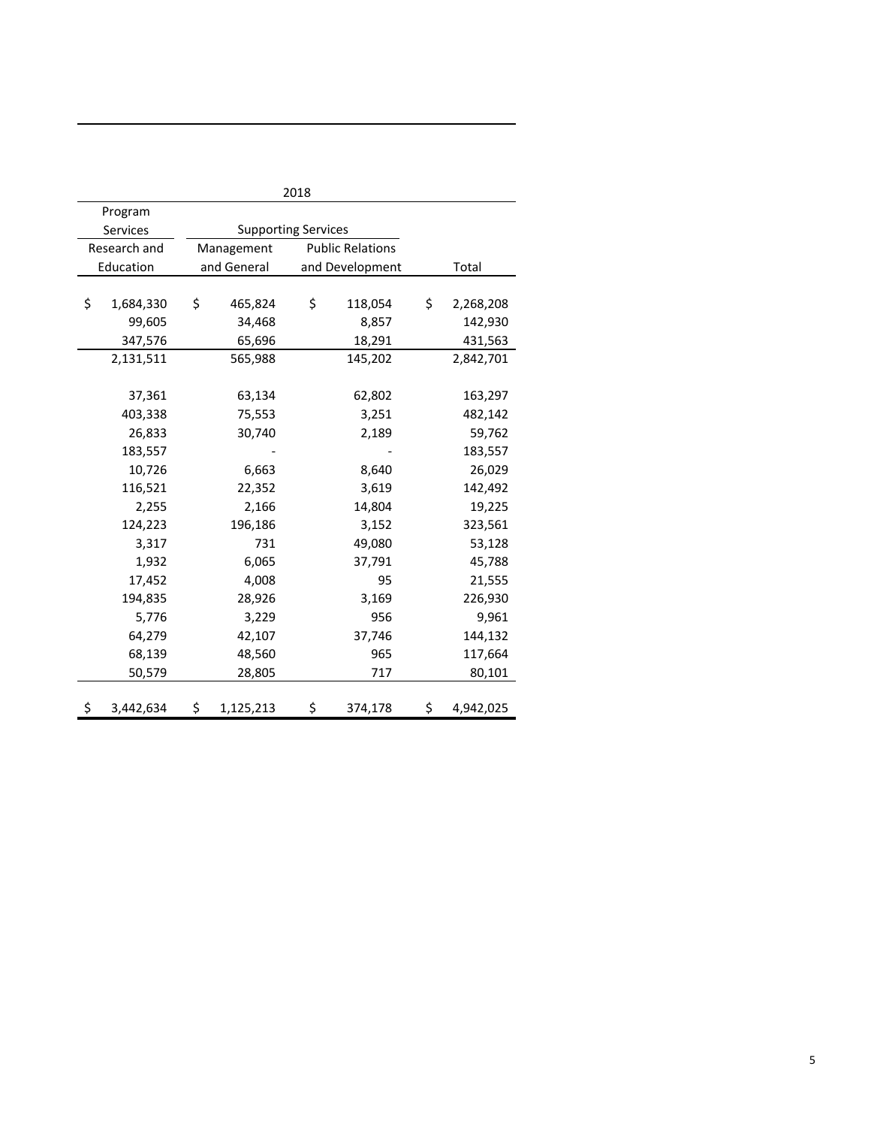| 2018            |    |                            |    |                         |    |           |
|-----------------|----|----------------------------|----|-------------------------|----|-----------|
| Program         |    |                            |    |                         |    |           |
| Services        |    | <b>Supporting Services</b> |    |                         |    |           |
| Research and    |    | Management                 |    | <b>Public Relations</b> |    |           |
| Education       |    | and General                |    | and Development         |    | Total     |
|                 |    |                            |    |                         |    |           |
| \$<br>1,684,330 | \$ | 465,824                    | \$ | 118,054                 | \$ | 2,268,208 |
| 99,605          |    | 34,468                     |    | 8,857                   |    | 142,930   |
| 347,576         |    | 65,696                     |    | 18,291                  |    | 431,563   |
| 2,131,511       |    | 565,988                    |    | 145,202                 |    | 2,842,701 |
|                 |    |                            |    |                         |    |           |
| 37,361          |    | 63,134                     |    | 62,802                  |    | 163,297   |
| 403,338         |    | 75,553                     |    | 3,251                   |    | 482,142   |
| 26,833          |    | 30,740                     |    | 2,189                   |    | 59,762    |
| 183,557         |    |                            |    |                         |    | 183,557   |
| 10,726          |    | 6,663                      |    | 8,640                   |    | 26,029    |
| 116,521         |    | 22,352                     |    | 3,619                   |    | 142,492   |
| 2,255           |    | 2,166                      |    | 14,804                  |    | 19,225    |
| 124,223         |    | 196,186                    |    | 3,152                   |    | 323,561   |
| 3,317           |    | 731                        |    | 49,080                  |    | 53,128    |
| 1,932           |    | 6,065                      |    | 37,791                  |    | 45,788    |
| 17,452          |    | 4,008                      |    | 95                      |    | 21,555    |
| 194,835         |    | 28,926                     |    | 3,169                   |    | 226,930   |
| 5,776           |    | 3,229                      |    | 956                     |    | 9,961     |
| 64,279          |    | 42,107                     |    | 37,746                  |    | 144,132   |
| 68,139          |    | 48,560                     |    | 965                     |    | 117,664   |
| 50,579          |    | 28,805                     |    | 717                     |    | 80,101    |
|                 |    |                            |    |                         |    |           |
| \$<br>3,442,634 | \$ | 1,125,213                  | \$ | 374,178                 | \$ | 4,942,025 |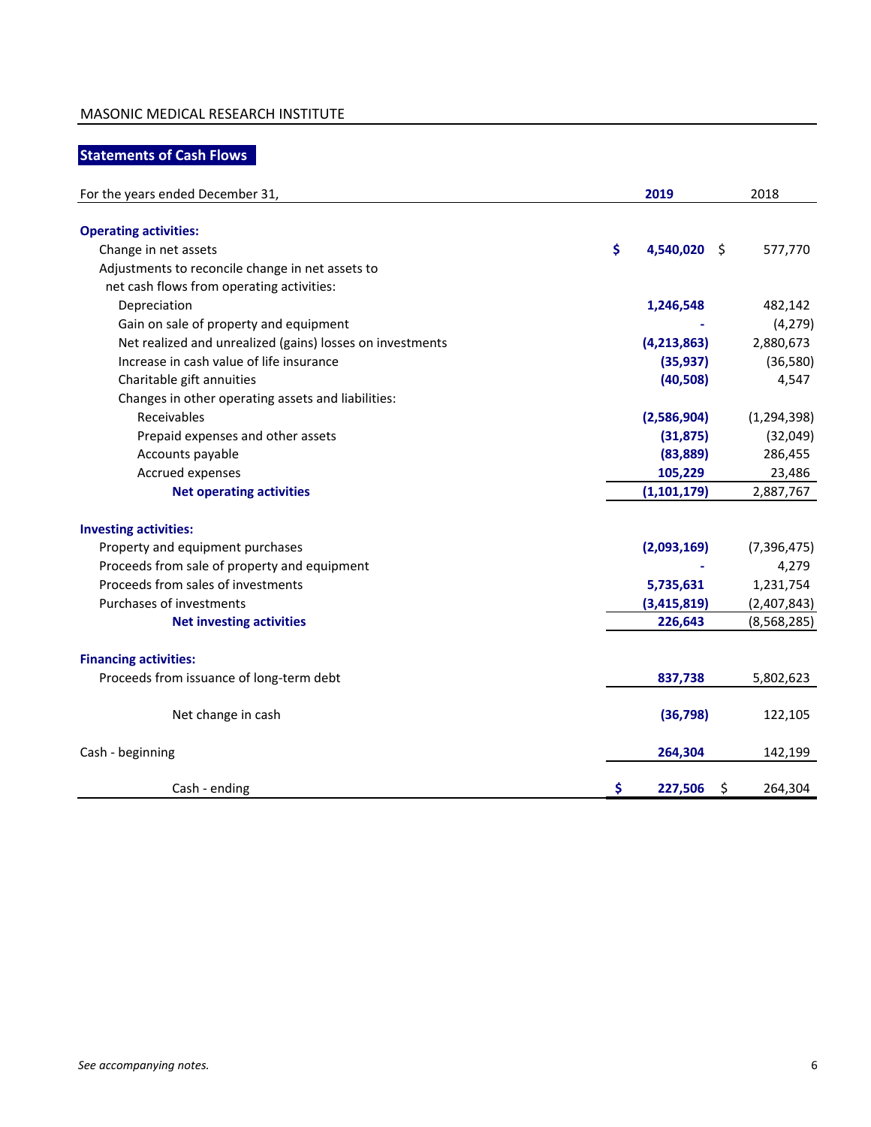# **Statements of Cash Flows**

| For the years ended December 31,                          | 2019               | 2018          |
|-----------------------------------------------------------|--------------------|---------------|
|                                                           |                    |               |
| <b>Operating activities:</b>                              |                    |               |
| Change in net assets                                      | \$<br>4,540,020 \$ | 577,770       |
| Adjustments to reconcile change in net assets to          |                    |               |
| net cash flows from operating activities:                 |                    |               |
| Depreciation                                              | 1,246,548          | 482,142       |
| Gain on sale of property and equipment                    |                    | (4, 279)      |
| Net realized and unrealized (gains) losses on investments | (4, 213, 863)      | 2,880,673     |
| Increase in cash value of life insurance                  | (35, 937)          | (36, 580)     |
| Charitable gift annuities                                 | (40, 508)          | 4,547         |
| Changes in other operating assets and liabilities:        |                    |               |
| Receivables                                               | (2,586,904)        | (1, 294, 398) |
| Prepaid expenses and other assets                         | (31, 875)          | (32,049)      |
| Accounts payable                                          | (83, 889)          | 286,455       |
| Accrued expenses                                          | 105,229            | 23,486        |
| <b>Net operating activities</b>                           | (1, 101, 179)      | 2,887,767     |
| <b>Investing activities:</b>                              |                    |               |
| Property and equipment purchases                          | (2,093,169)        | (7, 396, 475) |
| Proceeds from sale of property and equipment              |                    | 4,279         |
| Proceeds from sales of investments                        | 5,735,631          | 1,231,754     |
| Purchases of investments                                  | (3,415,819)        | (2,407,843)   |
| <b>Net investing activities</b>                           | 226,643            | (8,568,285)   |
|                                                           |                    |               |
| <b>Financing activities:</b>                              |                    |               |
| Proceeds from issuance of long-term debt                  | 837,738            | 5,802,623     |
| Net change in cash                                        | (36, 798)          | 122,105       |
| Cash - beginning                                          | 264,304            | 142,199       |
| Cash - ending                                             | \$<br>227,506      | \$<br>264,304 |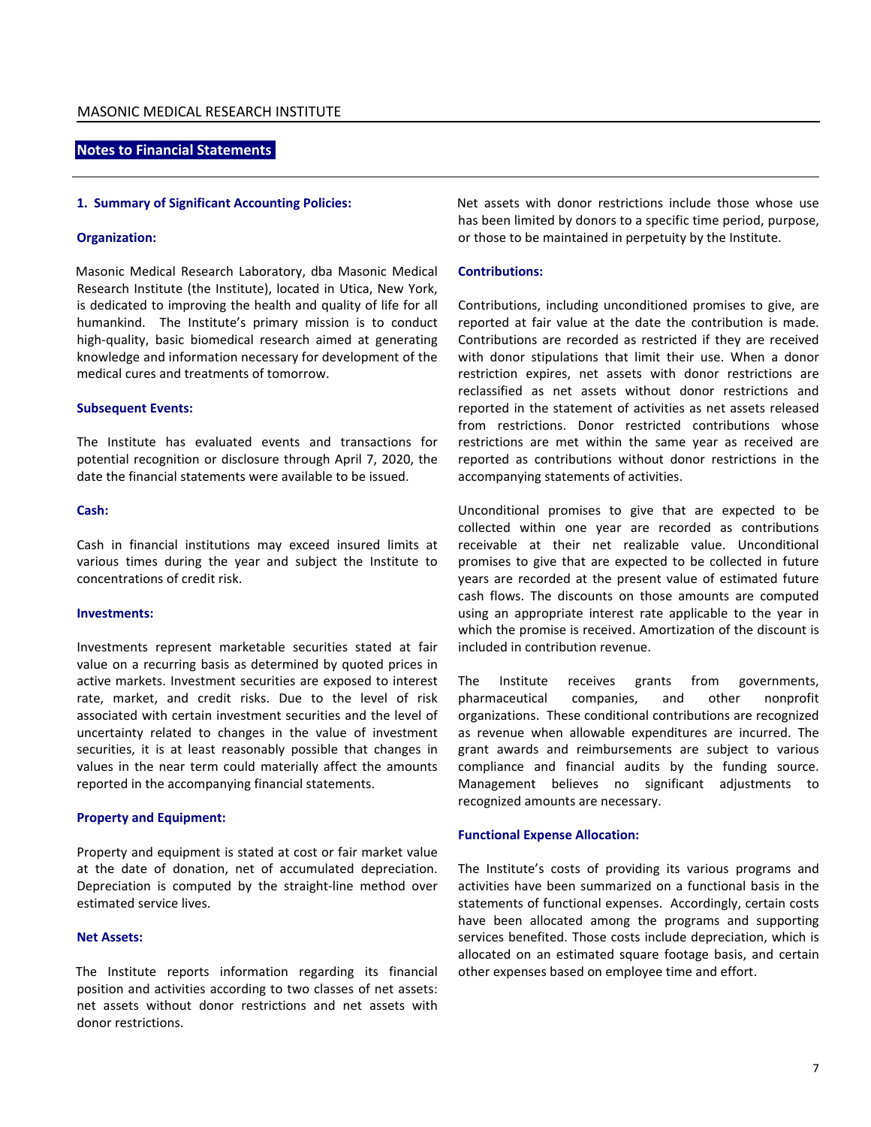#### **Notes to Financial Statements**

#### **1. Summary of Significant Accounting Policies:**

#### **Organization:**

Masonic Medical Research Laboratory, dba Masonic Medical Research Institute (the Institute), located in Utica, New York, is dedicated to improving the health and quality of life for all humankind. The Institute's primary mission is to conduct high-quality, basic biomedical research aimed at generating knowledge and information necessary for development of the medical cures and treatments of tomorrow.

#### **Subsequent Events:**

The Institute has evaluated events and transactions for potential recognition or disclosure through April 7, 2020, the date the financial statements were available to be issued.

#### **Cash:**

Cash in financial institutions may exceed insured limits at various times during the year and subject the Institute to concentrations of credit risk.

#### **Investments:**

Investments represent marketable securities stated at fair value on a recurring basis as determined by quoted prices in active markets. Investment securities are exposed to interest rate, market, and credit risks. Due to the level of risk associated with certain investment securities and the level of uncertainty related to changes in the value of investment securities, it is at least reasonably possible that changes in values in the near term could materially affect the amounts reported in the accompanying financial statements.

#### **Property and Equipment:**

Property and equipment is stated at cost or fair market value at the date of donation, net of accumulated depreciation. Depreciation is computed by the straight-line method over estimated service lives.

#### **Net Assets:**

The Institute reports information regarding its financial position and activities according to two classes of net assets: net assets without donor restrictions and net assets with donor restrictions.

Net assets with donor restrictions include those whose use has been limited by donors to a specific time period, purpose, or those to be maintained in perpetuity by the Institute.

#### **Contributions:**

Contributions, including unconditioned promises to give, are reported at fair value at the date the contribution is made. Contributions are recorded as restricted if they are received with donor stipulations that limit their use. When a donor restriction expires, net assets with donor restrictions are reclassified as net assets without donor restrictions and reported in the statement of activities as net assets released from restrictions. Donor restricted contributions whose restrictions are met within the same year as received are reported as contributions without donor restrictions in the accompanying statements of activities.

Unconditional promises to give that are expected to be collected within one year are recorded as contributions receivable at their net realizable value. Unconditional promises to give that are expected to be collected in future years are recorded at the present value of estimated future cash flows. The discounts on those amounts are computed using an appropriate interest rate applicable to the year in which the promise is received. Amortization of the discount is included in contribution revenue.

The Institute receives grants from governments, pharmaceutical companies, and other nonprofit organizations. These conditional contributions are recognized as revenue when allowable expenditures are incurred. The grant awards and reimbursements are subject to various compliance and financial audits by the funding source. Management believes no significant adjustments to recognized amounts are necessary.

#### **Functional Expense Allocation:**

The Institute's costs of providing its various programs and activities have been summarized on a functional basis in the statements of functional expenses. Accordingly, certain costs have been allocated among the programs and supporting services benefited. Those costs include depreciation, which is allocated on an estimated square footage basis, and certain other expenses based on employee time and effort.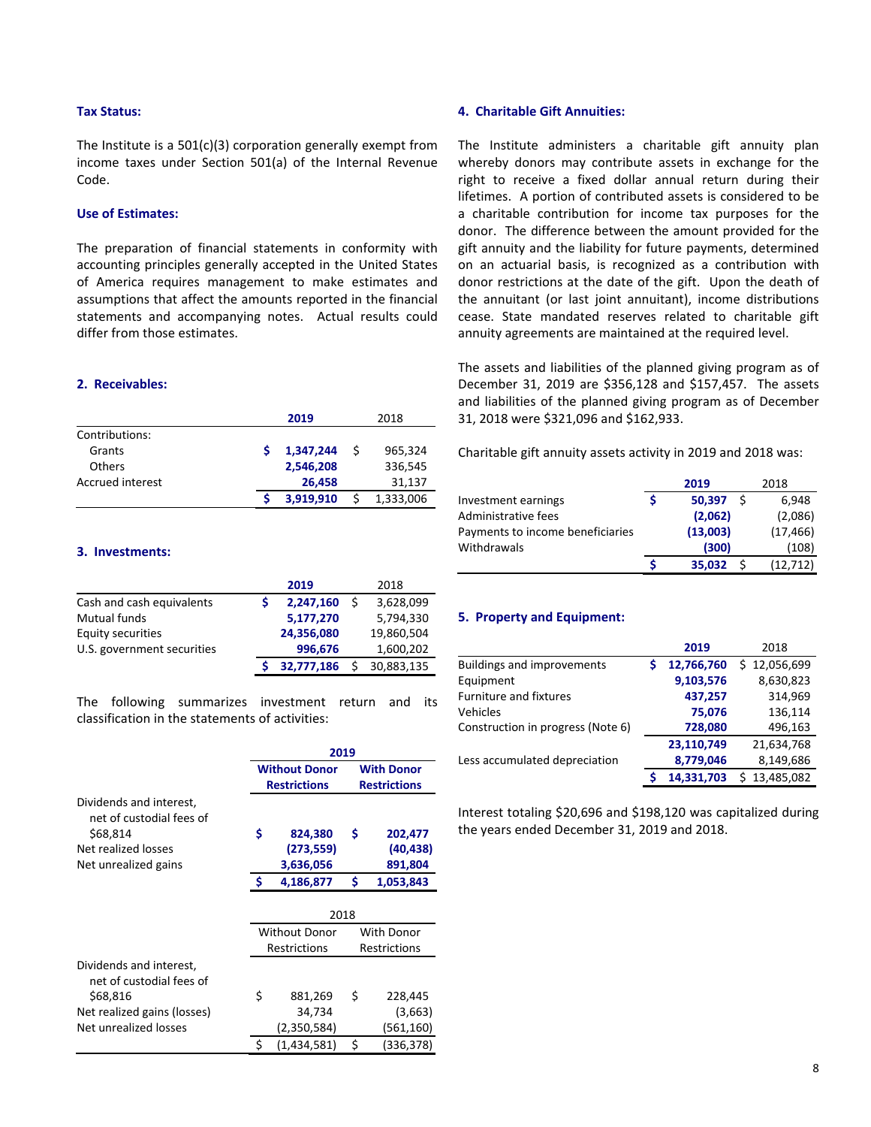#### **Tax Status:**

The Institute is a 501(c)(3) corporation generally exempt from income taxes under Section 501(a) of the Internal Revenue Code.

#### **Use of Estimates:**

The preparation of financial statements in conformity with accounting principles generally accepted in the United States of America requires management to make estimates and assumptions that affect the amounts reported in the financial statements and accompanying notes. Actual results could differ from those estimates.

#### **2. Receivables:**

|                  | 2019      | 2018 |           |  |
|------------------|-----------|------|-----------|--|
| Contributions:   |           |      |           |  |
| Grants           | 1,347,244 |      | 965,324   |  |
| Others           | 2,546,208 |      | 336,545   |  |
| Accrued interest | 26,458    |      | 31,137    |  |
|                  | 3,919,910 |      | 1,333,006 |  |

#### **3. Investments:**

|                            | 2019       |     | 2018       |
|----------------------------|------------|-----|------------|
| Cash and cash equivalents  | 2,247,160  | - S | 3,628,099  |
| Mutual funds               | 5,177,270  |     | 5.794.330  |
| <b>Equity securities</b>   | 24,356,080 |     | 19,860,504 |
| U.S. government securities | 996,676    |     | 1,600,202  |
|                            | 32,777,186 |     | 30,883,135 |

The following summarizes investment return and its classification in the statements of activities:

|                                                     | 2019                                        |                      |              |                                          |  |  |  |
|-----------------------------------------------------|---------------------------------------------|----------------------|--------------|------------------------------------------|--|--|--|
|                                                     | <b>Without Donor</b><br><b>Restrictions</b> |                      |              | <b>With Donor</b><br><b>Restrictions</b> |  |  |  |
| Dividends and interest,<br>net of custodial fees of |                                             |                      |              |                                          |  |  |  |
| \$68,814                                            | \$                                          | 824,380              | \$           | 202,477                                  |  |  |  |
| Net realized losses                                 |                                             | (273,559)            |              | (40, 438)                                |  |  |  |
| Net unrealized gains                                |                                             | 3,636,056            |              | 891,804                                  |  |  |  |
|                                                     | \$                                          | 4,186,877            | \$           | 1,053,843                                |  |  |  |
|                                                     |                                             | 2018                 |              |                                          |  |  |  |
|                                                     |                                             | <b>Without Donor</b> |              | <b>With Donor</b>                        |  |  |  |
|                                                     |                                             | <b>Restrictions</b>  | Restrictions |                                          |  |  |  |
| Dividends and interest,<br>net of custodial fees of |                                             |                      |              |                                          |  |  |  |
| \$68,816                                            | \$                                          | 881,269              | \$           | 228,445                                  |  |  |  |
| Net realized gains (losses)                         |                                             | 34,734               |              | (3,663)                                  |  |  |  |
| Net unrealized losses                               |                                             | (2,350,584)          |              | (561,160)                                |  |  |  |
|                                                     | Ś.                                          | (1,434,581)          | \$           | (336,378)                                |  |  |  |

#### **4. Charitable Gift Annuities:**

The Institute administers a charitable gift annuity plan whereby donors may contribute assets in exchange for the right to receive a fixed dollar annual return during their lifetimes. A portion of contributed assets is considered to be a charitable contribution for income tax purposes for the donor. The difference between the amount provided for the gift annuity and the liability for future payments, determined on an actuarial basis, is recognized as a contribution with donor restrictions at the date of the gift. Upon the death of the annuitant (or last joint annuitant), income distributions cease. State mandated reserves related to charitable gift annuity agreements are maintained at the required level.

The assets and liabilities of the planned giving program as of December 31, 2019 are \$356,128 and \$157,457. The assets and liabilities of the planned giving program as of December 31, 2018 were \$321,096 and \$162,933.

Charitable gift annuity assets activity in 2019 and 2018 was:

|                                  |   | 2019     | 2018      |
|----------------------------------|---|----------|-----------|
| Investment earnings              |   | 50,397   | 6,948     |
| Administrative fees              |   | (2,062)  | (2,086)   |
| Payments to income beneficiaries |   | (13,003) | (17, 466) |
| Withdrawals                      |   | (300)    | (108)     |
|                                  | S | 35.032   | (12, 712) |

#### **5. Property and Equipment:**

|                                   | 2019       | 2018         |
|-----------------------------------|------------|--------------|
| <b>Buildings and improvements</b> | 12,766,760 | \$12,056,699 |
| Equipment                         | 9,103,576  | 8,630,823    |
| <b>Furniture and fixtures</b>     | 437,257    | 314,969      |
| Vehicles                          | 75,076     | 136,114      |
| Construction in progress (Note 6) | 728,080    | 496,163      |
|                                   | 23,110,749 | 21,634,768   |
| Less accumulated depreciation     | 8,779,046  | 8,149,686    |
|                                   | 14,331,703 | \$13,485,082 |
|                                   |            |              |

Interest totaling \$20,696 and \$198,120 was capitalized during the years ended December 31, 2019 and 2018.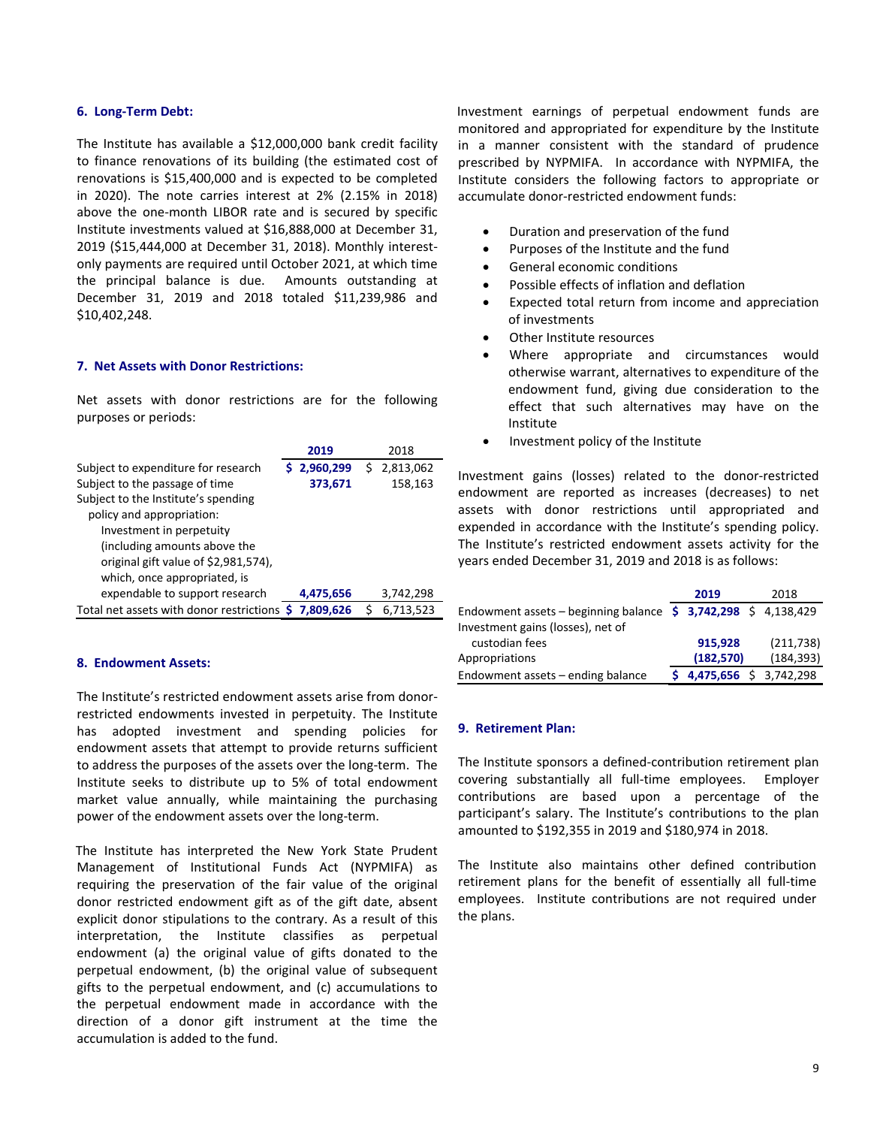#### **6. Long-Term Debt:**

The Institute has available a \$12,000,000 bank credit facility to finance renovations of its building (the estimated cost of renovations is \$15,400,000 and is expected to be completed in 2020). The note carries interest at 2% (2.15% in 2018) above the one-month LIBOR rate and is secured by specific Institute investments valued at \$16,888,000 at December 31, 2019 (\$15,444,000 at December 31, 2018). Monthly interestonly payments are required until October 2021, at which time the principal balance is due. Amounts outstanding at December 31, 2019 and 2018 totaled \$11,239,986 and \$10,402,248.

#### **7. Net Assets with Donor Restrictions:**

Net assets with donor restrictions are for the following purposes or periods:

|                                          | 2019        | 2018        |
|------------------------------------------|-------------|-------------|
| Subject to expenditure for research      | \$2,960,299 | \$2,813,062 |
| Subject to the passage of time           | 373,671     | 158,163     |
| Subject to the Institute's spending      |             |             |
| policy and appropriation:                |             |             |
| Investment in perpetuity                 |             |             |
| (including amounts above the             |             |             |
| original gift value of \$2,981,574),     |             |             |
| which, once appropriated, is             |             |             |
| expendable to support research           | 4,475,656   | 3,742,298   |
| Total net assets with donor restrictions | 7.809.626   | 6,713,523   |

#### **8. Endowment Assets:**

The Institute's restricted endowment assets arise from donorrestricted endowments invested in perpetuity. The Institute has adopted investment and spending policies for endowment assets that attempt to provide returns sufficient to address the purposes of the assets over the long-term. The Institute seeks to distribute up to 5% of total endowment market value annually, while maintaining the purchasing power of the endowment assets over the long-term.

The Institute has interpreted the New York State Prudent Management of Institutional Funds Act (NYPMIFA) as requiring the preservation of the fair value of the original donor restricted endowment gift as of the gift date, absent explicit donor stipulations to the contrary. As a result of this interpretation, the Institute classifies as perpetual endowment (a) the original value of gifts donated to the perpetual endowment, (b) the original value of subsequent gifts to the perpetual endowment, and (c) accumulations to the perpetual endowment made in accordance with the direction of a donor gift instrument at the time the accumulation is added to the fund.

Investment earnings of perpetual endowment funds are monitored and appropriated for expenditure by the Institute in a manner consistent with the standard of prudence prescribed by NYPMIFA. In accordance with NYPMIFA, the Institute considers the following factors to appropriate or accumulate donor-restricted endowment funds:

- Duration and preservation of the fund
- Purposes of the Institute and the fund
- General economic conditions
- Possible effects of inflation and deflation
- Expected total return from income and appreciation of investments
- Other Institute resources
- Where appropriate and circumstances would otherwise warrant, alternatives to expenditure of the endowment fund, giving due consideration to the effect that such alternatives may have on the Institute
- Investment policy of the Institute

Investment gains (losses) related to the donor-restricted endowment are reported as increases (decreases) to net assets with donor restrictions until appropriated and expended in accordance with the Institute's spending policy. The Institute's restricted endowment assets activity for the years ended December 31, 2019 and 2018 is as follows:

|                                                                        | 2019                     | 2018       |
|------------------------------------------------------------------------|--------------------------|------------|
| Endowment assets - beginning balance $\sin 3,742,298$ $\sin 4,138,429$ |                          |            |
| Investment gains (losses), net of                                      |                          |            |
| custodian fees                                                         | 915.928                  | (211, 738) |
| Appropriations                                                         | (182, 570)               | (184, 393) |
| Endowment assets – ending balance                                      | $$4,475,656 \$3,742,298$ |            |

#### **9. Retirement Plan:**

The Institute sponsors a defined-contribution retirement plan covering substantially all full-time employees. Employer contributions are based upon a percentage of the participant's salary. The Institute's contributions to the plan amounted to \$192,355 in 2019 and \$180,974 in 2018.

The Institute also maintains other defined contribution retirement plans for the benefit of essentially all full-time employees. Institute contributions are not required under the plans.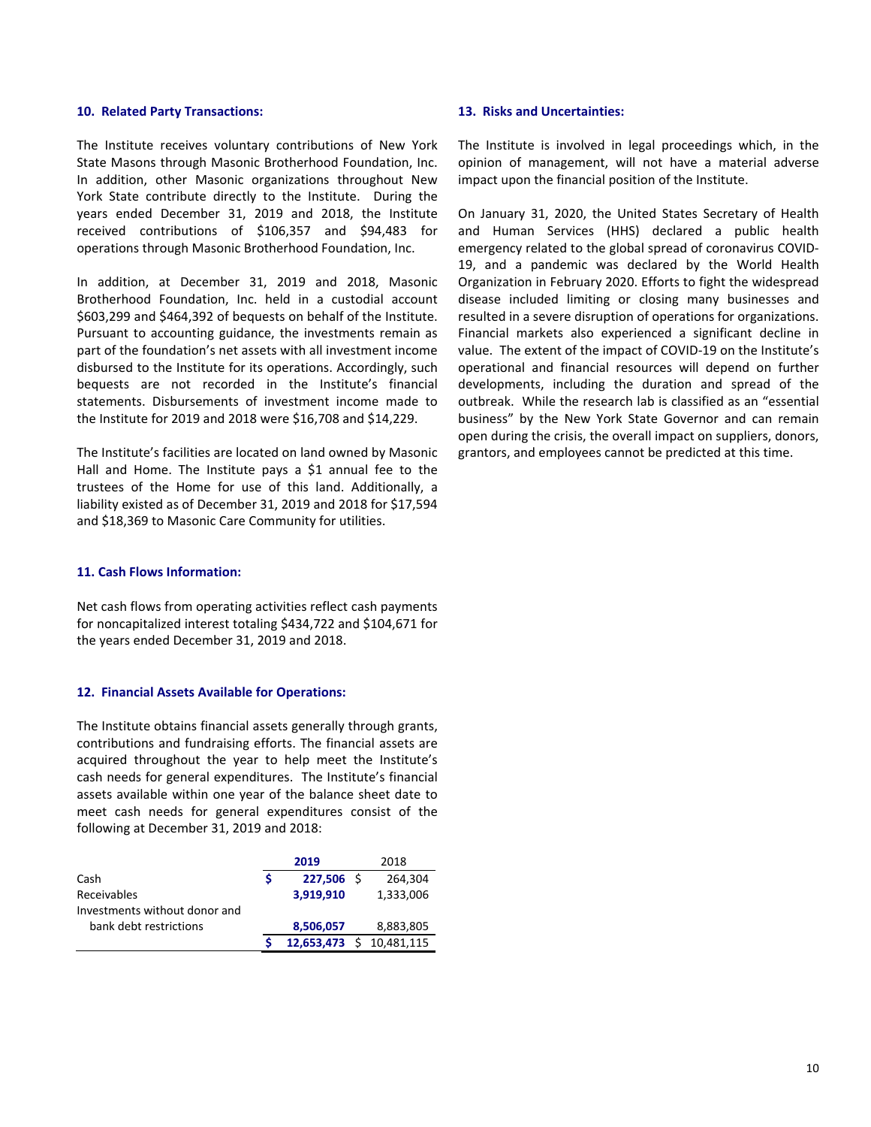#### **10. Related Party Transactions:**

The Institute receives voluntary contributions of New York State Masons through Masonic Brotherhood Foundation, Inc. In addition, other Masonic organizations throughout New York State contribute directly to the Institute. During the years ended December 31, 2019 and 2018, the Institute received contributions of \$106,357 and \$94,483 for operations through Masonic Brotherhood Foundation, Inc.

In addition, at December 31, 2019 and 2018, Masonic Brotherhood Foundation, Inc. held in a custodial account \$603,299 and \$464,392 of bequests on behalf of the Institute. Pursuant to accounting guidance, the investments remain as part of the foundation's net assets with all investment income disbursed to the Institute for its operations. Accordingly, such bequests are not recorded in the Institute's financial statements. Disbursements of investment income made to the Institute for 2019 and 2018 were \$16,708 and \$14,229.

The Institute's facilities are located on land owned by Masonic Hall and Home. The Institute pays a \$1 annual fee to the trustees of the Home for use of this land. Additionally, a liability existed as of December 31, 2019 and 2018 for \$17,594 and \$18,369 to Masonic Care Community for utilities.

#### **11. Cash Flows Information:**

Net cash flows from operating activities reflect cash payments for noncapitalized interest totaling \$434,722 and \$104,671 for the years ended December 31, 2019 and 2018.

#### **12. Financial Assets Available for Operations:**

The Institute obtains financial assets generally through grants, contributions and fundraising efforts. The financial assets are acquired throughout the year to help meet the Institute's cash needs for general expenditures. The Institute's financial assets available within one year of the balance sheet date to meet cash needs for general expenditures consist of the following at December 31, 2019 and 2018:

|                               | 2019             | 2018       |
|-------------------------------|------------------|------------|
| Cash                          | \$<br>227,506 \$ | 264.304    |
| Receivables                   | 3,919,910        | 1,333,006  |
| Investments without donor and |                  |            |
| bank debt restrictions        | 8,506,057        | 8,883,805  |
|                               | $12,653,473$ \$  | 10.481.115 |

#### **13. Risks and Uncertainties:**

The Institute is involved in legal proceedings which, in the opinion of management, will not have a material adverse impact upon the financial position of the Institute.

On January 31, 2020, the United States Secretary of Health and Human Services (HHS) declared a public health emergency related to the global spread of coronavirus COVID-19, and a pandemic was declared by the World Health Organization in February 2020. Efforts to fight the widespread disease included limiting or closing many businesses and resulted in a severe disruption of operations for organizations. Financial markets also experienced a significant decline in value. The extent of the impact of COVID-19 on the Institute's operational and financial resources will depend on further developments, including the duration and spread of the outbreak. While the research lab is classified as an "essential business" by the New York State Governor and can remain open during the crisis, the overall impact on suppliers, donors, grantors, and employees cannot be predicted at this time.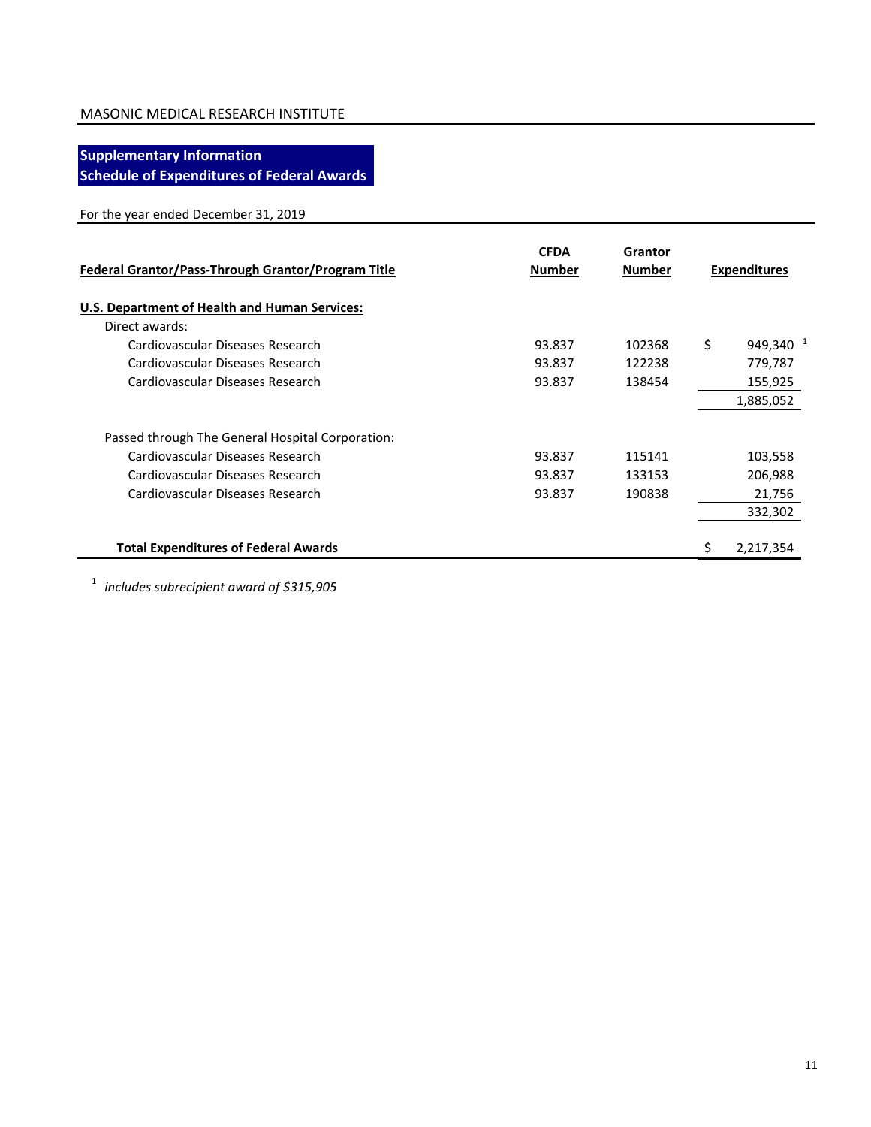# **Supplementary Information Schedule of Expenditures of Federal Awards**

# For the year ended December 31, 2019

| Federal Grantor/Pass-Through Grantor/Program Title | <b>CFDA</b><br><b>Number</b> | Grantor<br><b>Number</b> | <b>Expenditures</b> |             |
|----------------------------------------------------|------------------------------|--------------------------|---------------------|-------------|
| U.S. Department of Health and Human Services:      |                              |                          |                     |             |
| Direct awards:                                     |                              |                          |                     |             |
| Cardiovascular Diseases Research                   | 93.837                       | 102368                   | \$                  | 949,340 $1$ |
| Cardiovascular Diseases Research                   | 93.837                       | 122238                   |                     | 779,787     |
| Cardiovascular Diseases Research                   | 93.837                       | 138454                   |                     | 155,925     |
|                                                    |                              |                          |                     | 1,885,052   |
| Passed through The General Hospital Corporation:   |                              |                          |                     |             |
| Cardiovascular Diseases Research                   | 93.837                       | 115141                   |                     | 103,558     |
| Cardiovascular Diseases Research                   | 93.837                       | 133153                   |                     | 206,988     |
| Cardiovascular Diseases Research                   | 93.837                       | 190838                   |                     | 21,756      |
|                                                    |                              |                          |                     | 332,302     |
| <b>Total Expenditures of Federal Awards</b>        |                              |                          | \$                  | 2,217,354   |

1 *includes subrecipient award of \$315,905*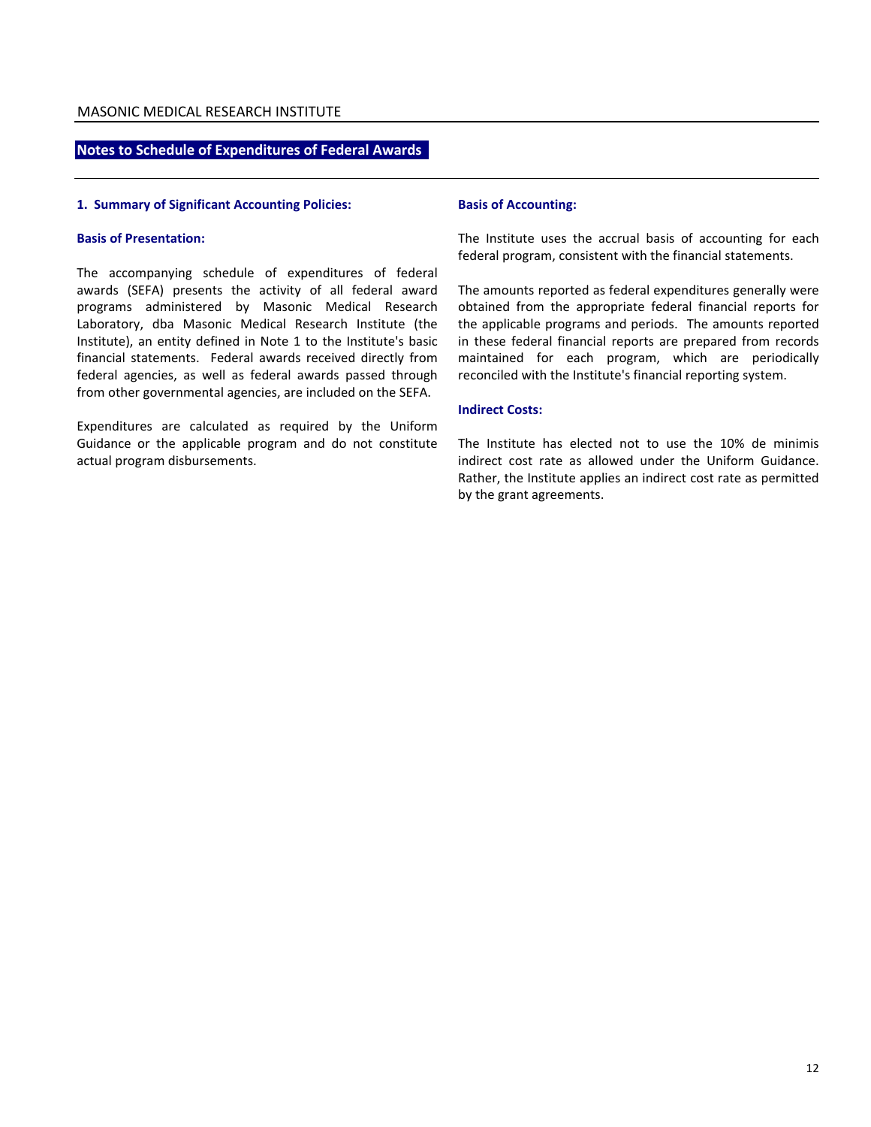#### **Notes to Schedule of Expenditures of Federal Awards**

#### **1. Summary of Significant Accounting Policies:**

#### **Basis of Presentation:**

The accompanying schedule of expenditures of federal awards (SEFA) presents the activity of all federal award programs administered by Masonic Medical Research Laboratory, dba Masonic Medical Research Institute (the Institute), an entity defined in Note 1 to the Institute's basic financial statements. Federal awards received directly from federal agencies, as well as federal awards passed through from other governmental agencies, are included on the SEFA.

Expenditures are calculated as required by the Uniform Guidance or the applicable program and do not constitute actual program disbursements.

#### **Basis of Accounting:**

The Institute uses the accrual basis of accounting for each federal program, consistent with the financial statements.

The amounts reported as federal expenditures generally were obtained from the appropriate federal financial reports for the applicable programs and periods. The amounts reported in these federal financial reports are prepared from records maintained for each program, which are periodically reconciled with the Institute's financial reporting system.

#### **Indirect Costs:**

The Institute has elected not to use the 10% de minimis indirect cost rate as allowed under the Uniform Guidance. Rather, the Institute applies an indirect cost rate as permitted by the grant agreements.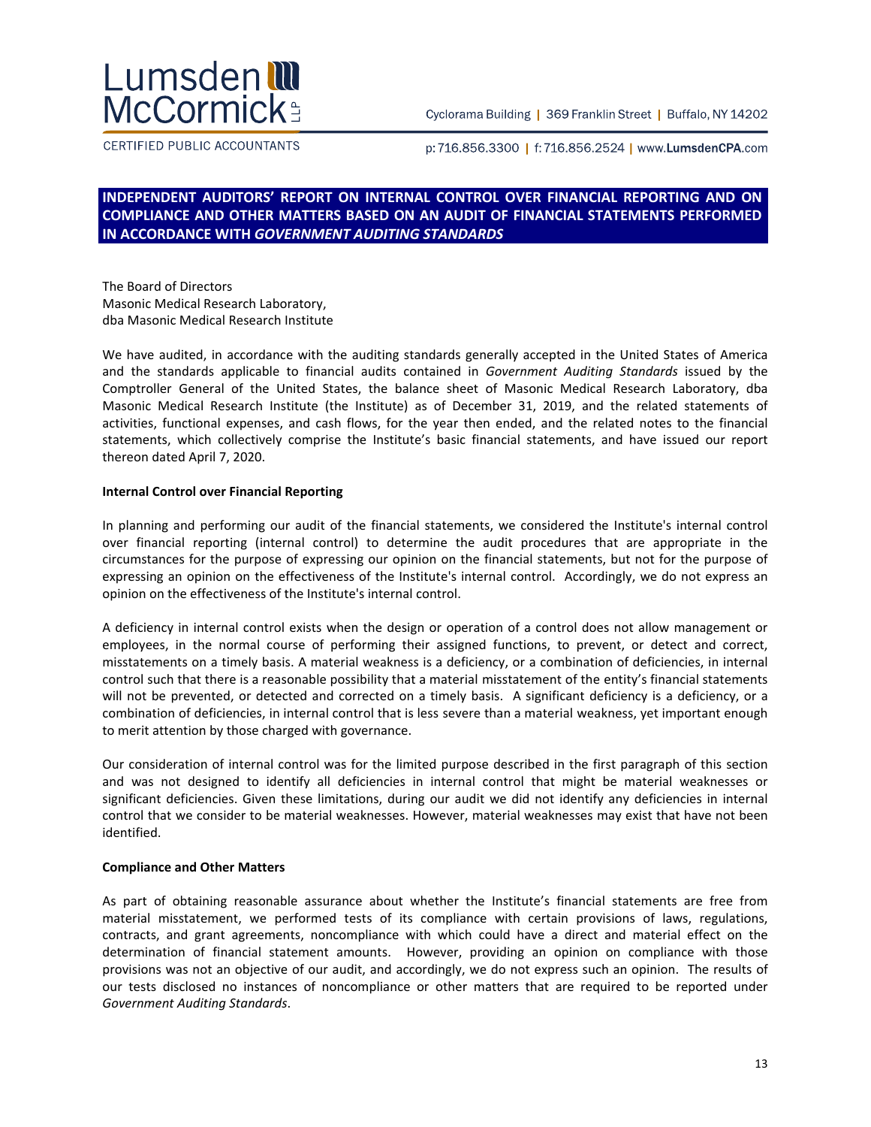

Cyclorama Building | 369 Franklin Street | Buffalo, NY 14202

CERTIFIED PUBLIC ACCOUNTANTS

p:716.856.3300 | f:716.856.2524 | www.LumsdenCPA.com

### **INDEPENDENT AUDITORS' REPORT ON INTERNAL CONTROL OVER FINANCIAL REPORTING AND ON COMPLIANCE AND OTHER MATTERS BASED ON AN AUDIT OF FINANCIAL STATEMENTS PERFORMED IN ACCORDANCE WITH** *GOVERNMENT AUDITING STANDARDS*

The Board of Directors Masonic Medical Research Laboratory, dba Masonic Medical Research Institute

We have audited, in accordance with the auditing standards generally accepted in the United States of America and the standards applicable to financial audits contained in *Government Auditing Standards* issued by the Comptroller General of the United States, the balance sheet of Masonic Medical Research Laboratory, dba Masonic Medical Research Institute (the Institute) as of December 31, 2019, and the related statements of activities, functional expenses, and cash flows, for the year then ended, and the related notes to the financial statements, which collectively comprise the Institute's basic financial statements, and have issued our report thereon dated April 7, 2020.

#### **Internal Control over Financial Reporting**

In planning and performing our audit of the financial statements, we considered the Institute's internal control over financial reporting (internal control) to determine the audit procedures that are appropriate in the circumstances for the purpose of expressing our opinion on the financial statements, but not for the purpose of expressing an opinion on the effectiveness of the Institute's internal control. Accordingly, we do not express an opinion on the effectiveness of the Institute's internal control.

A deficiency in internal control exists when the design or operation of a control does not allow management or employees, in the normal course of performing their assigned functions, to prevent, or detect and correct, misstatements on a timely basis. A material weakness is a deficiency, or a combination of deficiencies, in internal control such that there is a reasonable possibility that a material misstatement of the entity's financial statements will not be prevented, or detected and corrected on a timely basis. A significant deficiency is a deficiency, or a combination of deficiencies, in internal control that is less severe than a material weakness, yet important enough to merit attention by those charged with governance.

Our consideration of internal control was for the limited purpose described in the first paragraph of this section and was not designed to identify all deficiencies in internal control that might be material weaknesses or significant deficiencies. Given these limitations, during our audit we did not identify any deficiencies in internal control that we consider to be material weaknesses. However, material weaknesses may exist that have not been identified.

#### **Compliance and Other Matters**

As part of obtaining reasonable assurance about whether the Institute's financial statements are free from material misstatement, we performed tests of its compliance with certain provisions of laws, regulations, contracts, and grant agreements, noncompliance with which could have a direct and material effect on the determination of financial statement amounts. However, providing an opinion on compliance with those provisions was not an objective of our audit, and accordingly, we do not express such an opinion. The results of our tests disclosed no instances of noncompliance or other matters that are required to be reported under *Government Auditing Standards*.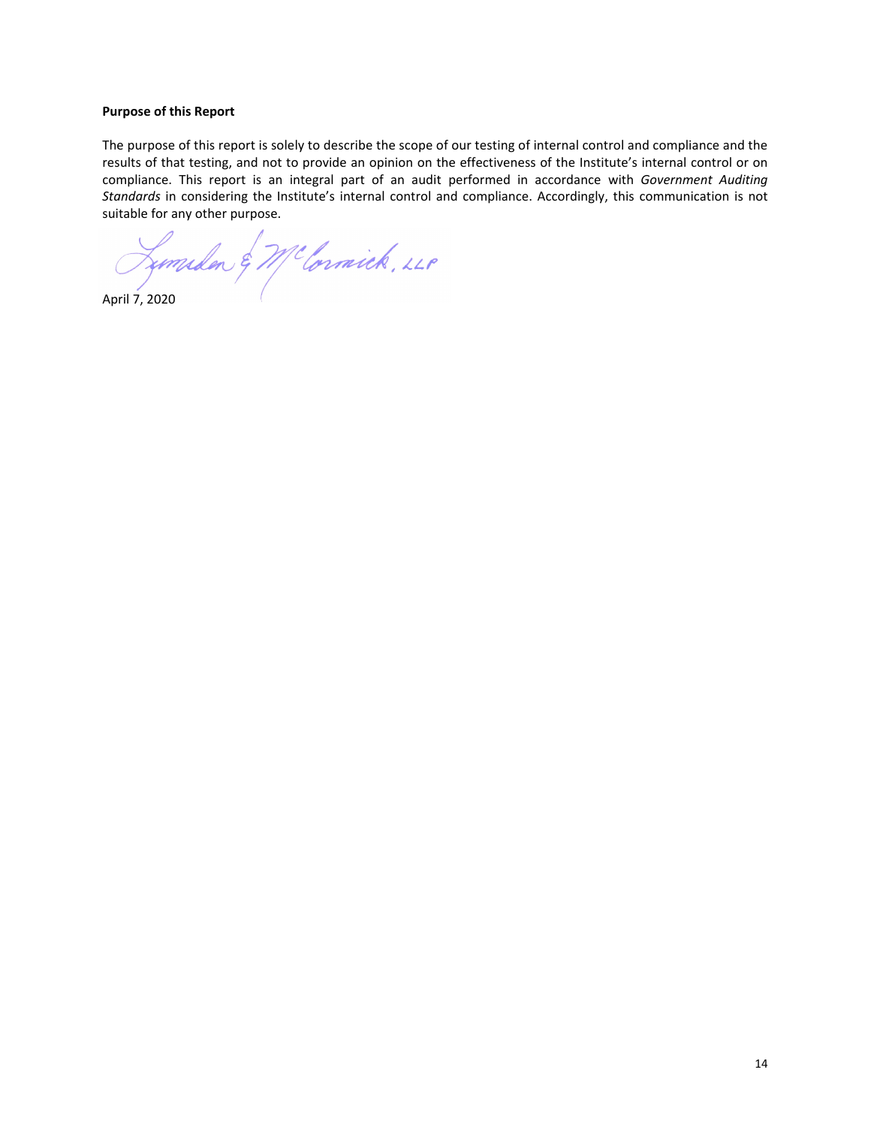#### **Purpose of this Report**

The purpose of this report is solely to describe the scope of our testing of internal control and compliance and the results of that testing, and not to provide an opinion on the effectiveness of the Institute's internal control or on compliance. This report is an integral part of an audit performed in accordance with *Government Auditing Standards* in considering the Institute's internal control and compliance. Accordingly, this communication is not suitable for any other purpose.

Symulen & McCornick, 220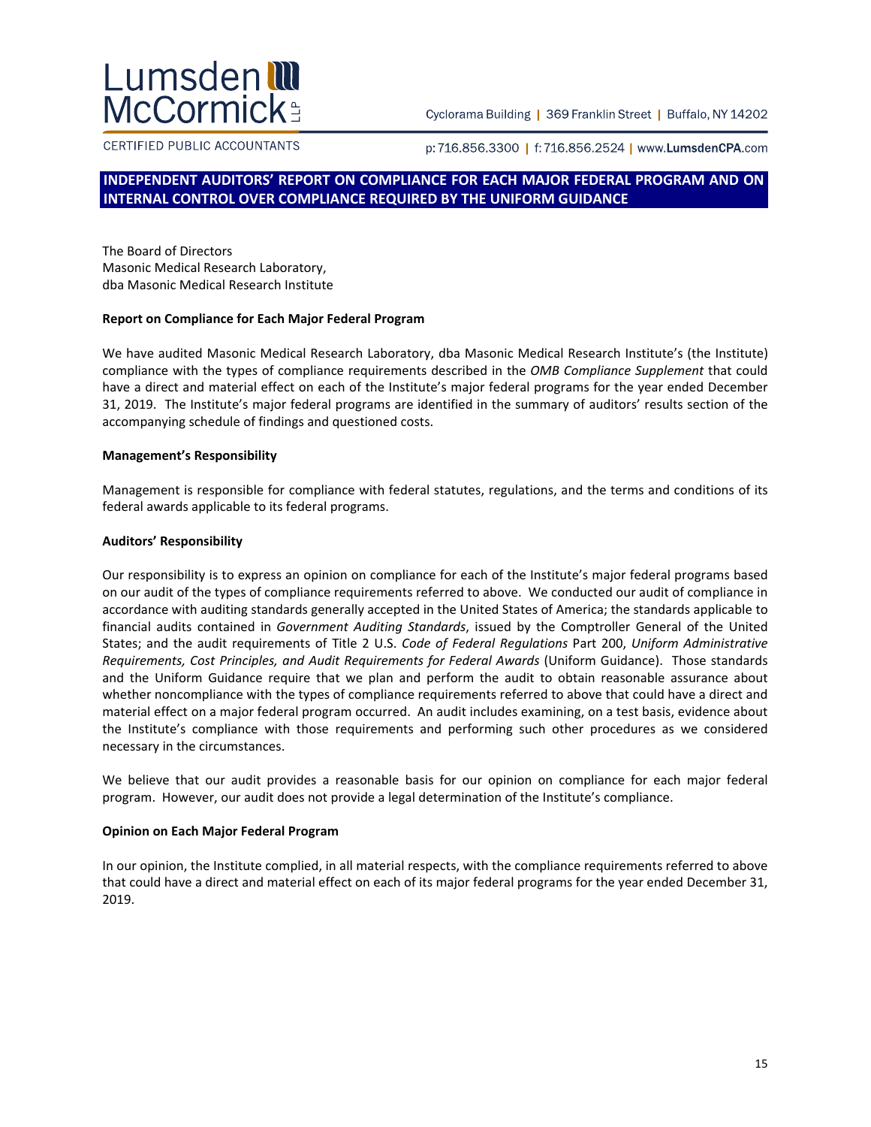# Lumsden **III**<br>McCormick

Cyclorama Building | 369 Franklin Street | Buffalo, NY 14202

CERTIFIED PUBLIC ACCOUNTANTS

p:716.856.3300 | f:716.856.2524 | www.LumsdenCPA.com

## **INDEPENDENT AUDITORS' REPORT ON COMPLIANCE FOR EACH MAJOR FEDERAL PROGRAM AND ON INTERNAL CONTROL OVER COMPLIANCE REQUIRED BY THE UNIFORM GUIDANCE**

The Board of Directors Masonic Medical Research Laboratory, dba Masonic Medical Research Institute

#### **Report on Compliance for Each Major Federal Program**

We have audited Masonic Medical Research Laboratory, dba Masonic Medical Research Institute's (the Institute) compliance with the types of compliance requirements described in the *OMB Compliance Supplement* that could have a direct and material effect on each of the Institute's major federal programs for the year ended December 31, 2019. The Institute's major federal programs are identified in the summary of auditors' results section of the accompanying schedule of findings and questioned costs.

#### **Management's Responsibility**

Management is responsible for compliance with federal statutes, regulations, and the terms and conditions of its federal awards applicable to its federal programs.

#### **Auditors' Responsibility**

Our responsibility is to express an opinion on compliance for each of the Institute's major federal programs based on our audit of the types of compliance requirements referred to above. We conducted our audit of compliance in accordance with auditing standards generally accepted in the United States of America; the standards applicable to financial audits contained in *Government Auditing Standards*, issued by the Comptroller General of the United States; and the audit requirements of Title 2 U.S. *Code of Federal Regulations* Part 200, *Uniform Administrative Requirements, Cost Principles, and Audit Requirements for Federal Awards* (Uniform Guidance). Those standards and the Uniform Guidance require that we plan and perform the audit to obtain reasonable assurance about whether noncompliance with the types of compliance requirements referred to above that could have a direct and material effect on a major federal program occurred. An audit includes examining, on a test basis, evidence about the Institute's compliance with those requirements and performing such other procedures as we considered necessary in the circumstances.

We believe that our audit provides a reasonable basis for our opinion on compliance for each major federal program. However, our audit does not provide a legal determination of the Institute's compliance.

#### **Opinion on Each Major Federal Program**

In our opinion, the Institute complied, in all material respects, with the compliance requirements referred to above that could have a direct and material effect on each of its major federal programs for the year ended December 31, 2019.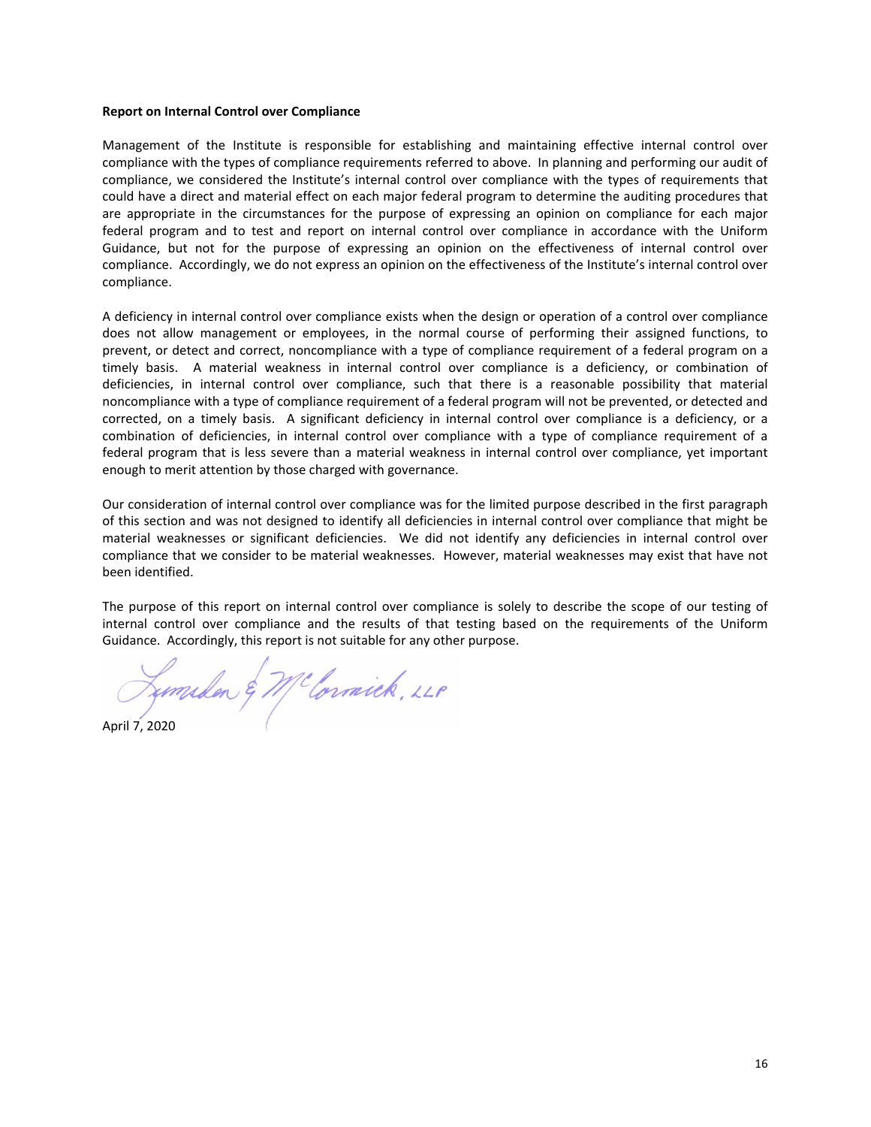#### **Report on Internal Control over Compliance**

Management of the Institute is responsible for establishing and maintaining effective internal control over compliance with the types of compliance requirements referred to above. In planning and performing our audit of compliance, we considered the Institute's internal control over compliance with the types of requirements that could have a direct and material effect on each major federal program to determine the auditing procedures that are appropriate in the circumstances for the purpose of expressing an opinion on compliance for each major federal program and to test and report on internal control over compliance in accordance with the Uniform Guidance, but not for the purpose of expressing an opinion on the effectiveness of internal control over compliance. Accordingly, we do not express an opinion on the effectiveness of the Institute's internal control over compliance.

A deficiency in internal control over compliance exists when the design or operation of a control over compliance does not allow management or employees, in the normal course of performing their assigned functions, to prevent, or detect and correct, noncompliance with a type of compliance requirement of a federal program on a timely basis. A material weakness in internal control over compliance is a deficiency, or combination of deficiencies, in internal control over compliance, such that there is a reasonable possibility that material noncompliance with a type of compliance requirement of a federal program will not be prevented, or detected and corrected, on a timely basis. A significant deficiency in internal control over compliance is a deficiency, or a combination of deficiencies, in internal control over compliance with a type of compliance requirement of a federal program that is less severe than a material weakness in internal control over compliance, yet important enough to merit attention by those charged with governance.

Our consideration of internal control over compliance was for the limited purpose described in the first paragraph of this section and was not designed to identify all deficiencies in internal control over compliance that might be material weaknesses or significant deficiencies. We did not identify any deficiencies in internal control over compliance that we consider to be material weaknesses. However, material weaknesses may exist that have not been identified.

The purpose of this report on internal control over compliance is solely to describe the scope of our testing of internal control over compliance and the results of that testing based on the requirements of the Uniform Guidance. Accordingly, this report is not suitable for any other purpose.

Tymula & McCornick, 220

April 7, 2020